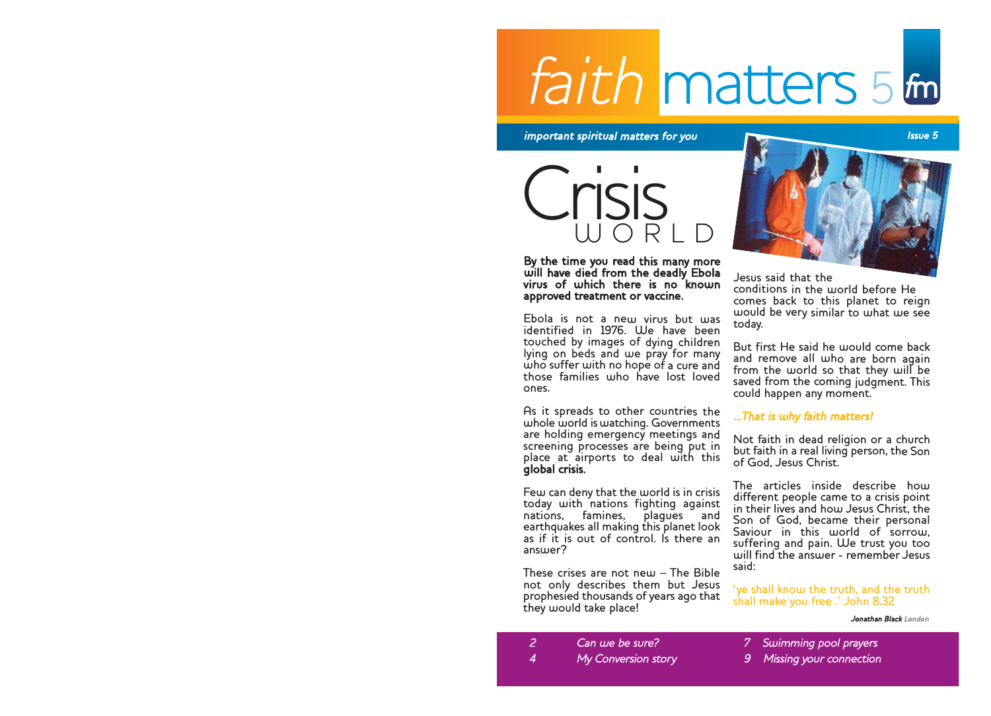### faith matters 5 <sup>f</sup>m

important spiritual matters for you **Issue 5** and the set of the set of the set of the set of the set of the set o

Crisis

By the time you read this many more will have died from the deadly Ebola virus of which there is no known approved treatment or vaccine.

Ebola is not a new virus but was identified in 1976. We have been touched by images of dying children lying on beds and we pray for many who suffer with no hope of a cure and those families who have lost loved ones.

As it spreads to other countries the whole world is watching. Governments are holding emergency meetings and screening processes are being put in place at airports to deal with this global crisis.

Few can deny that the world is in crisis today with nations fighting against nations, famines, plagues and earthquakes all making this planet look as if it is out of control. Is there an  $ancular?$ 

These crises are not new – The Bible not only describes them but Jesus prophesied thousands of years ago that they would take place!



Jesus said that the conditions in the world before He comes back to this planet to reign would be very similar to what we see today.

But first He said he would come back and remove all who are born again from the world so that they will be saved from the coming judgment. This could happen any moment.

#### ...That is why faith matters!

Not faith in dead religion or a church but faith in a real living person, the Son of God, Jesus Christ.

The articles inside describe how different people came to a crisis point in their lives and how Jesus Christ, the Son of God, became their personal Saviour in this world of sorrow, suffering and pain. We trust you too will find the answer - remember Jesus said:

'ye shall know the truth, and the truth shall make you free .' John 8.32

Jonathan Black London

- 7 Swimming pool prayers
- Missing your connection

2 Can we be sure? 4 My Conversion story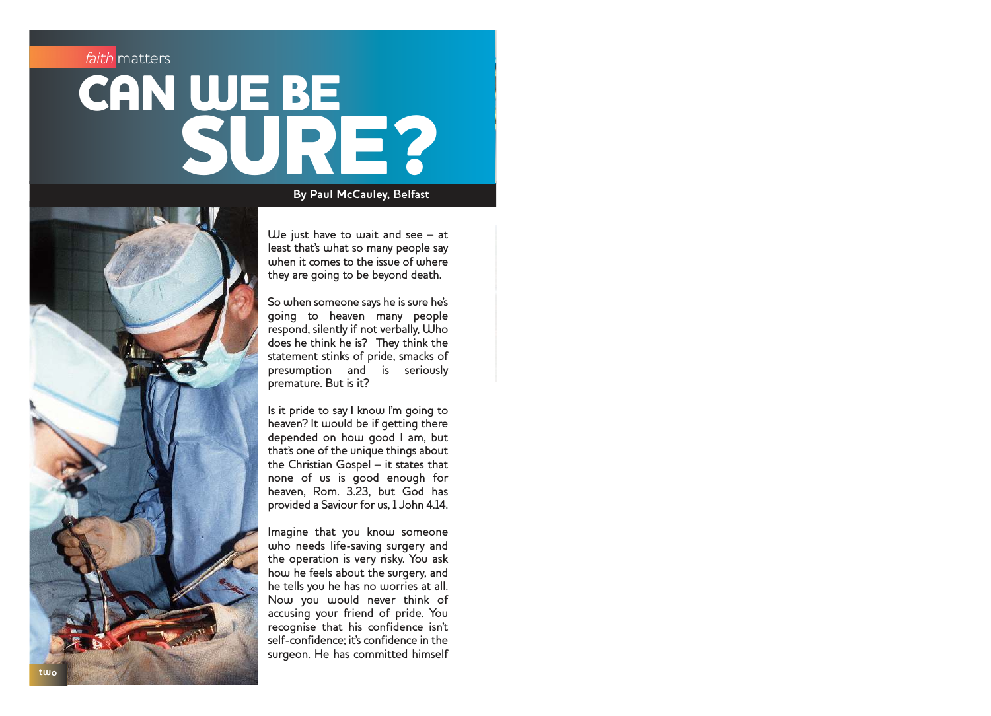# **CAN WE BE** SURE?



We just have to wait and see – at least that's what so many people say when it comes to the issue of where they are going to be beyond death.

**By Paul McCauley,**  Belfast

So when someone says he is sure he's going to heaven many people respond, silently if not verbally, Who does he think he is? They think the statement stinks of pride, smacks of presumption and is seriously premature. But is it?

Is it pride to say I know I'm going to heaven? It would be if getting there depended on how good I am, but that's one of the unique things about the Christian Gospel – it states that none of us is good enough for heaven, Rom. 3.23, but God has provided a Saviour for us, 1 John 4.14.

Imagine that you know someone who needs life-saving surgery and the operation is very risky. You ask how he feels about the surgery, and he tells you he has no worries at all. Now you would never think of accusing your friend of pride. You recognise that his confidence isn't self-confidence; it's confidence in the surgeon. He has committed himself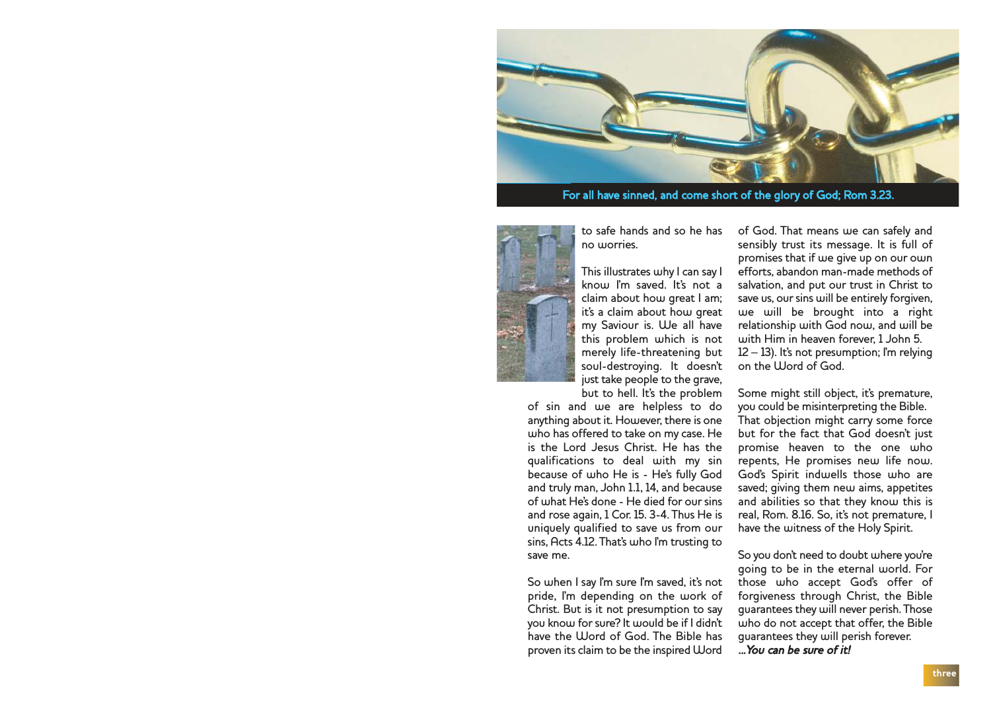

For all have sinned, and come short of the glory of God; Rom 3.23.



to safe hands and so he has no worries.

This illustrates why I can say I know I'm saved. It's not a claim about how great I am; it's a claim about how great my Saviour is. We all have this problem which is not merely life-threatening but soul-destroying. It doesn't just take people to the grave, but to hell. It's the problem

of sin and we are helpless to do anything about it. However, there is one who has offered to take on my case. He is the Lord Jesus Christ. He has the qualifications to deal with my sin because of who He is - He's fully God and truly man, John 1.1, 14, and because of what He's done - He died for our sins and rose again, 1 Cor. 15. 3-4. Thus He is uniquely qualified to save us from our sins, Acts 4.12. That's who I'm trusting to save me.

So when I say I'm sure I'm saved, it's not pride, I'm depending on the work of Christ. But is it not presumption to say you know for sure? It would be if I didn't have the Word of God. The Bible has proven its claim to be the inspired Word of God. That means we can safely and sensibly trust its message. It is full of promises that if we give up on our own efforts, abandon man-made methods of salvation, and put our trust in Christ to save us, our sins will be entirely forgiven, we will be brought into a right relationship with God now, and will be with Him in heaven forever, 1 John 5. 12 – 13). It's not presumption; I'm relying on the *Word* of God.

Some might still object, it's premature, you could be misinterpreting the Bible." That objection might carry some force but for the fact that God doesn't just promise heaven to the one who repents, He promises new life now. God's Spirit indwells those who are saved; giving them new aims, appetites and abilities so that they know this is real, Rom. 8.16. So, it's not premature, I have the witness of the Holy Spirit.

So you don't need to doubt where you're going to be in the eternal world. For those who accept God's offer of forgiveness through Christ, the Bible guarantees they will never perish. Those who do not accept that offer, the Bible guarantees they will perish forever.

...You can be sure of it!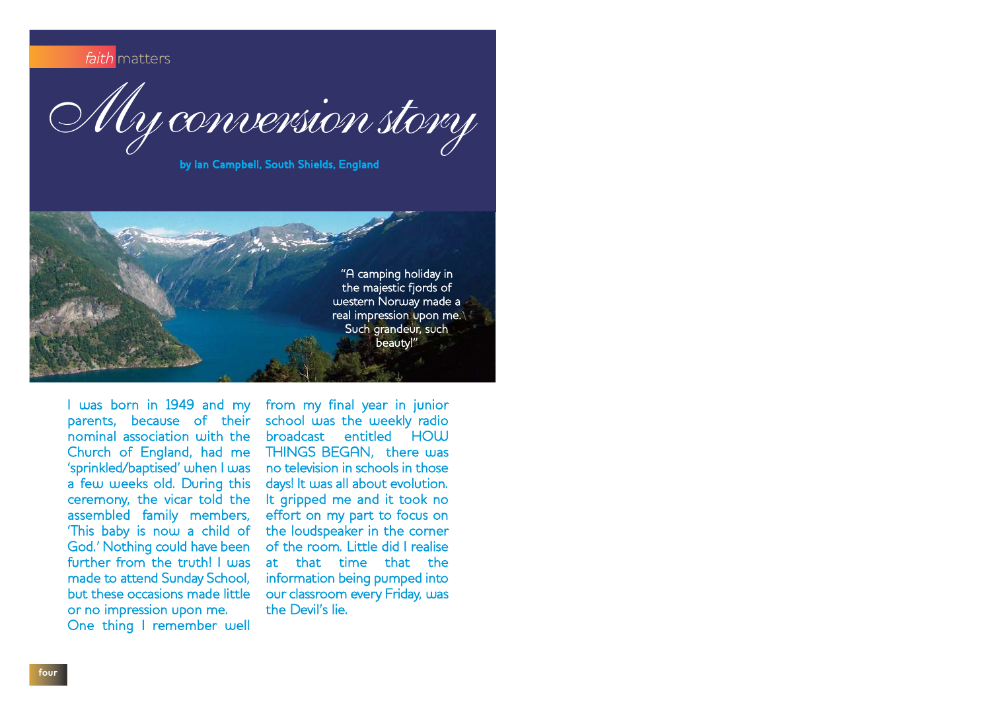faith matters

My conversion story

by Ian Campbell, South Shields, England



I was born in 1949 and my parents, because of their nominal association with the Church of England, had me 'sprinkled/baptised' when I was a few weeks old. During this ceremony, the vicar told the assembled family members, 'This baby is now a child of God.' Nothing could have been further from the truth! I was made to attend Sunday School, but these occasions made little or no impression upon me. One thing I remember well

from my final year in junior school was the weekly radio broadcast entitled HOU THINGS BEGAN, there was no television in schools in those days! It was all about evolution. It gripped me and it took no effort on my part to focus on the loudspeaker in the corner of the room. Little did I realise at that time that the information being pumped into our classroom every Friday, was the Devil's lie.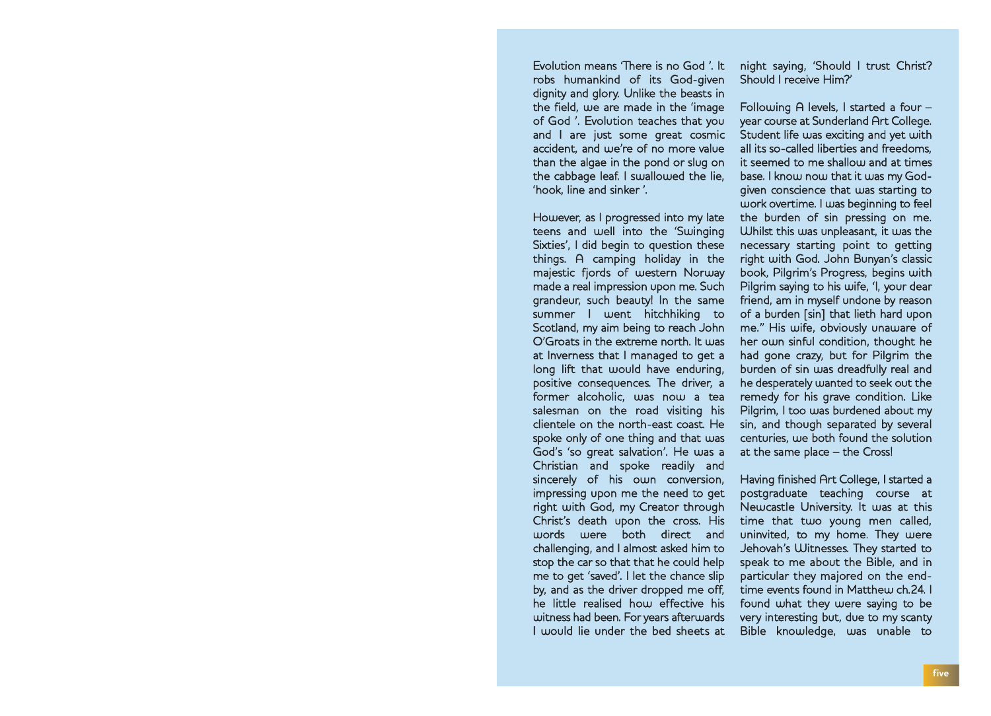Evolution means 'There is no God '. It robs humankind of its God-given dignity and glory. Unlike the beasts in the field, we are made in the 'image of God '. Evolution teaches that you and I are just some great cosmic accident, and we're of no more value than the algae in the pond or slug on the cabbage leaf. I swallowed the lie, 'hook, line and sinker '.

However, as I progressed into my late teens and well into the 'Swinging Sixties', I did begin to question these things. A camping holiday in the majestic fjords of western Norway made a real impression upon me. Such grandeur, such beauty! In the same summer I went hitchhiking to Scotland, my aim being to reach John O'Groats in the extreme north. It was at Inverness that I managed to get a long lift that would have enduring, positive consequences. The driver, a former alcoholic, was now a tea salesman on the road visiting his clientele on the north-east coast. He spoke only of one thing and that was God's 'so great salvation'. He was a Christian and spoke readily and sincerely of his own conversion, impressing upon me the need to get right with God, my Creator through Christ's death upon the cross. His<br>upords upere both direct and words were both direct and challenging, and I almost asked him to stop the car so that that he could help me to get 'saved'. I let the chance slip by, and as the driver dropped me off, he little realised how effective his witness had been. For years afterwards I would lie under the bed sheets at

night saying, 'Should I trust Christ? Should I receive Him?'

Following A levels, I started a four – year course at Sunderland Art College. Student life was exciting and yet with all its so-called liberties and freedoms, it seemed to me shallow and at times base. I know now that it was my Godgiven conscience that was starting to work overtime. I was beginning to feel the burden of sin pressing on me. Whilst this was unpleasant, it was the necessary starting point to getting right with God. John Bunyan's classic book, Pilgrim's Progress, begins with Pilgrim saying to his wife, 'I, your dear friend, am in myself undone by reason of a burden [sin] that lieth hard upon me." His wife, obviously unaware of her own sinful condition, thought he had gone crazy, but for Pilgrim the burden of sin was dreadfully real and he desperately wanted to seek out the remedy for his grave condition. Like Pilgrim, I too was burdened about my sin, and though separated by several centuries, we both found the solution at the same place – the Cross!

 Having finished Art College, I started a postgraduate teaching course at Newcastle University. It was at this time that two young men called, uninvited, to my home. They were Jehovah's Witnesses. They started to speak to me about the Bible, and in particular they majored on the endtime events found in Matthew ch.24. I found what they were saying to be very interesting but, due to my scanty Bible knowledge, was unable to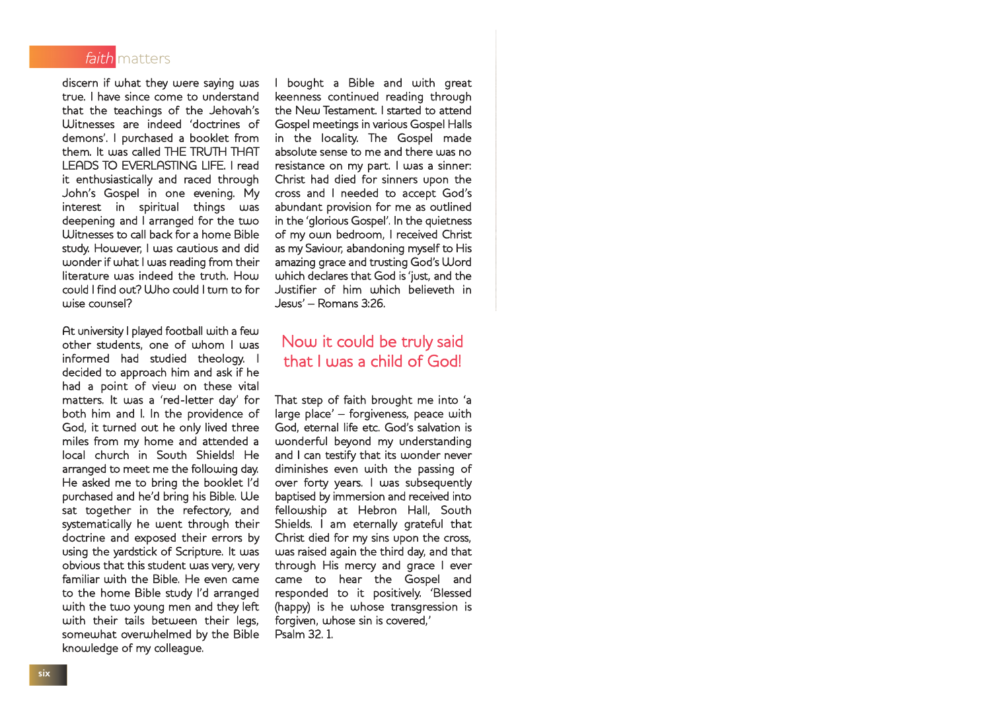

discern if what they were saying was true. I have since come to understand that the teachings of the Jehovah's Witnesses are indeed 'doctrines of demons'. I purchased a booklet from them. It was called THE TRUTH THAT LEADS TO EVERLASTING LIFE. I read it enthusiastically and raced through John's Gospel in one evening. My in spiritual deepening and I arranged for the two Witnesses to call back for a home Bible study. However, I was cautious and did wonder if what I was reading from their literature was indeed the truth. How could I find out? Who could I turn to for wise counsel?

At university I played football with a few other students, one of whom I was informed had studied theology. I decided to approach him and ask if he had a point of view on these vital matters. It was a 'red-letter day' for both him and I. In the providence of God, it turned out he only lived three miles from my home and attended a local church in South Shields! He arranged to meet me the following day. He asked me to bring the booklet I'd purchased and he'd bring his Bible. We sat together in the refectory, and systematically he went through their doctrine and exposed their errors by using the yardstick of Scripture. It was obvious that this student was very, very familiar with the Bible. He even came to the home Bible study I'd arranged with the two young men and they left with their tails between their legs, somewhat overwhelmed by the Bible knowledge of my colleague.

I bought a Bible and with great keenness continued reading through the New Testament. I started to attend Gospel meetings in various Gospel Halls in the locality. The Gospel made absolute sense to me and there was no resistance on my part. I was a sinner: Christ had died for sinners upon the cross and I needed to accept God's abundant provision for me as outlined in the 'glorious Gospel'. In the quietness of my own bedroom, I received Christ as my Saviour, abandoning myself to His amazing grace and trusting God's Word which declares that God is 'just, and the Justifier of him which believeth in Jesus' – Romans 3:26.

#### Now it could be truly said that I was a child of God!

That step of faith brought me into 'a large place' – forgiveness, peace with God, eternal life etc. God's salvation is wonderful beyond my understanding and I can testify that its wonder never diminishes even with the passing of over forty years. I was subsequently baptised by immersion and received into fellowship at Hebron Hall, South Shields. I am eternally grateful that Christ died for my sins upon the cross, was raised again the third day, and that through His mercy and grace I ever came to hear the Gospel and responded to it positively. 'Blessed (happy) is he whose transgression is forgiven, whose sin is covered,' Psalm 32. 1.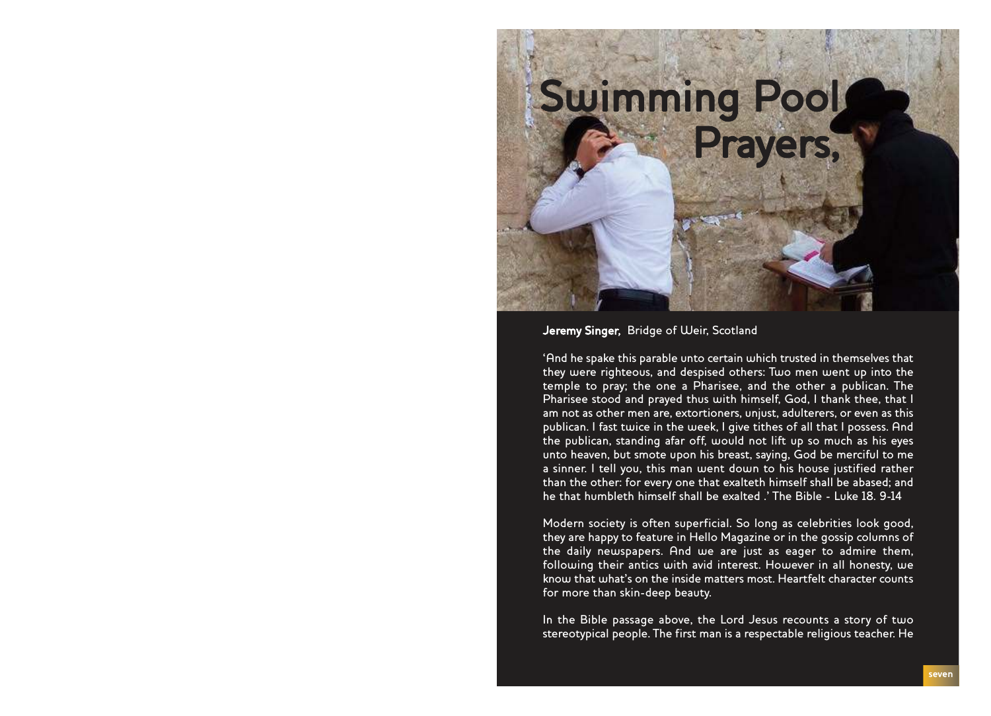## Swimming Pool Prayers,

Jeremy Singer, Bridge of Weir, Scotland

'And he spake this parable unto certain which trusted in themselves that they were righteous, and despised others: Two men went up into the temple to pray; the one a Pharisee, and the other a publican. The Pharisee stood and prayed thus with himself, God, I thank thee, that I am not as other men are, extortioners, unjust, adulterers, or even as this publican. I fast twice in the week, I give tithes of all that I possess. And the publican, standing afar off, would not lift up so much as his eyes unto heaven, but smote upon his breast, saying, God be merciful to me a sinner. I tell you, this man went down to his house justified rather than the other: for every one that exalteth himself shall be abased; and he that humbleth himself shall be exalted .' The Bible - Luke 18. 9-14

Modern society is often superficial. So long as celebrities look good, they are happy to feature in Hello Magazine or in the gossip columns of the daily newspapers. And we are just as eager to admire them, following their antics with avid interest. However in all honesty, we know that what's on the inside matters most. Heartfelt character counts for more than skin-deep beauty.

In the Bible passage above, the Lord Jesus recounts a story of two stereotypical people. The first man is a respectable religious teacher. He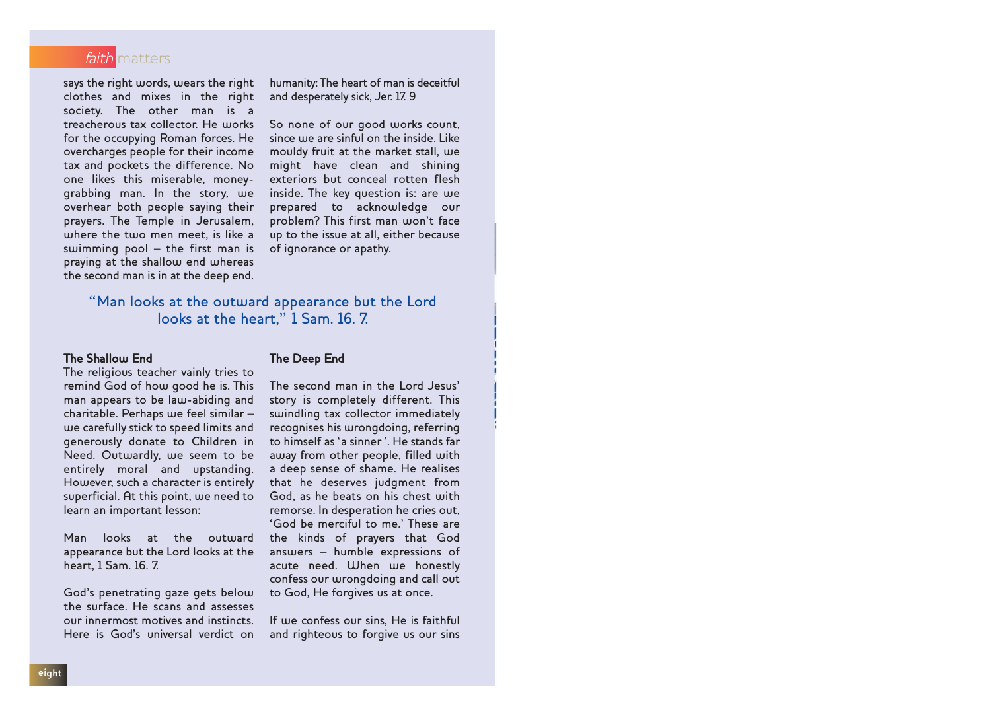

says the right words, wears the right clothes and mixes in the right society. The other man is a treacherous tax collector. He works for the occupying Roman forces. He overcharges people for their income tax and pockets the difference. No one likes this miserable, moneygrabbing man. In the story, we overhear both people saying their prayers. The Temple in Jerusalem, where the two men meet, is like a swimming pool – the first man is praying at the shallow end whereas the second man is in at the deep end. humanity: The heart of man is deceitful and desperately sick, Jer. 17. 9

So none of our good works count, since we are sinful on the inside. Like mouldy fruit at the market stall, we might have clean and shining exteriors but conceal rotten flesh inside. The key question is: are we prepared to acknowledge our problem? This first man won't face up to the issue at all, either because of ignorance or apathy.

"Man looks at the outward appearance but the Lord looks at the heart," 1 Sam. 16. 7.

#### The Shallow End

The religious teacher vainly tries to remind God of how good he is. This man appears to be law-abiding and charitable. Perhaps we feel similar – we carefully stick to speed limits and generously donate to Children in Need. Outwardly, we seem to be entirely moral and upstanding. However, such a character is entirely superficial. At this point, we need to learn an important lesson:

Man looks at the outward appearance but the Lord looks at the heart, 1 Sam. 16. 7.

God's penetrating gaze gets below the surface. He scans and assesses our innermost motives and instincts. Here is God's universal verdict on

#### The Deep End

The second man in the Lord Jesus' story is completely different. This swindling tax collector immediately recognises his wrongdoing, referring to himself as 'a sinner '. He stands far away from other people, filled with a deep sense of shame. He realises that he deserves judgment from God, as he beats on his chest with remorse. In desperation he cries out, 'God be merciful to me.' These are the kinds of prayers that God answers – humble expressions of acute need. When we honestly confess our wrongdoing and call out to God, He forgives us at once.

If we confess our sins, He is faithful and righteous to forgive us our sins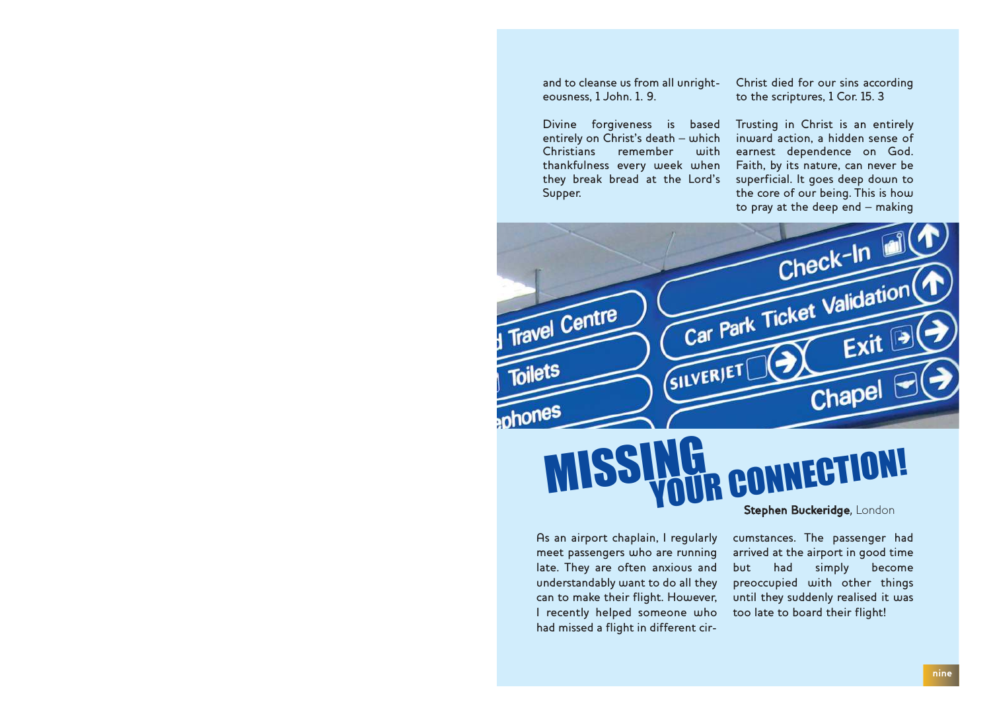and to cleanse us from all unrighteousness, 1 John. 1. 9.

Divine forgiveness is based entirely on Christ's death – which<br>Christians – remember – with remember thankfulness every week when they break bread at the Lord's Supper.

Christ died for our sins according to the scriptures, 1 Cor. 15. 3

Trusting in Christ is an entirely inward action, a hidden sense of earnest dependence on God. Faith, by its nature, can never be superficial. It goes deep down to the core of our being. This is how to pray at the deep end – making



#### MISS FRTION! Stephen Buckeridge, London

As an airport chaplain, I regularly meet passengers who are running late. They are often anxious and understandably want to do all they can to make their flight. However, I recently helped someone who had missed a flight in different circumstances. The passenger had arrived at the airport in good time but had simply become preoccupied with other things until they suddenly realised it was too late to board their flight!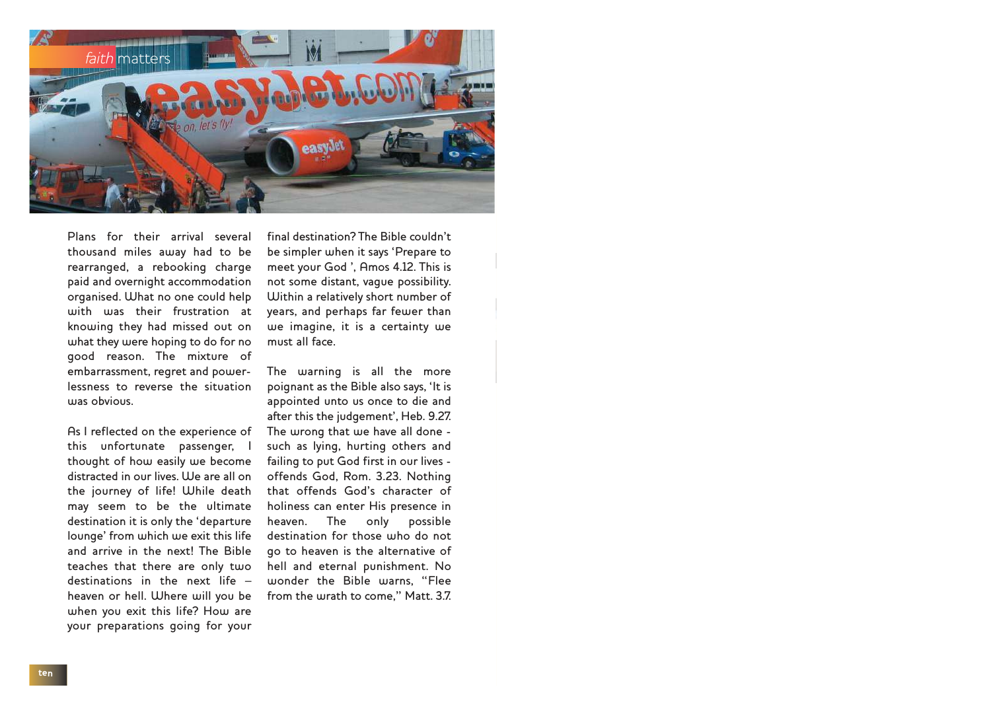

Plans for their arrival several thousand miles away had to be rearranged, a rebooking charge paid and overnight accommodation organised. What no one could help with was their frustration at knowing they had missed out on what they were hoping to do for no good reason. The mixture of embarrassment, regret and powerlessness to reverse the situation was obvious.

As I reflected on the experience of this unfortunate passenger, I thought of how easily we become distracted in our lives. We are all on the journey of life! While death may seem to be the ultimate destination it is only the 'departure lounge' from which we exit this life and arrive in the next! The Bible teaches that there are only two destinations in the next life – heaven or hell. Where will you be when you exit this life? How are your preparations going for your

final destination? The Bible couldn't be simpler when it says 'Prepare to meet your God ', Amos 4.12. This is not some distant, vague possibility. Within a relatively short number of years, and perhaps far fewer than we imagine, it is a certainty we must all face.

The warning is all the more poignant as the Bible also says, 'It is appointed unto us once to die and after this the judgement', Heb. 9.27. The wrong that we have all done such as lying, hurting others and failing to put God first in our lives offends God, Rom. 3.23. Nothing that offends God's character of holiness can enter His presence in heaven. The only possible destination for those who do not go to heaven is the alternative of hell and eternal punishment. No wonder the Bible warns, "Flee from the wrath to come," Matt. 3.7.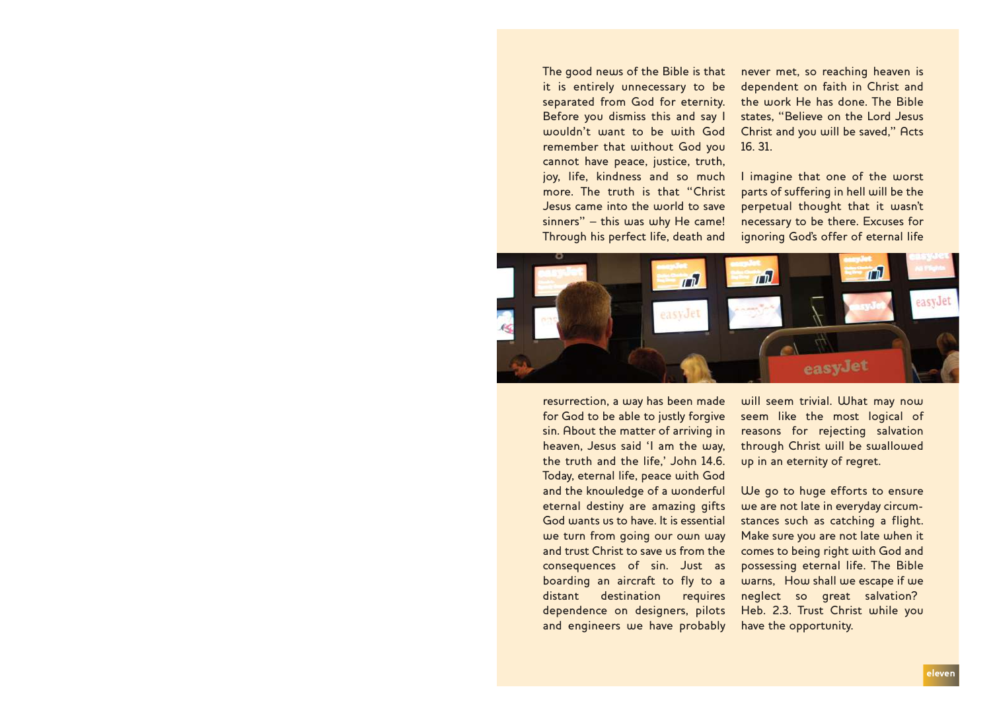The good news of the Bible is that it is entirely unnecessary to be separated from God for eternity. Before you dismiss this and say I wouldn't want to be with God remember that without God you cannot have peace, justice, truth, joy, life, kindness and so much more. The truth is that "Christ Jesus came into the world to save sinners" – this was why He came! Through his perfect life, death and

never met, so reaching heaven is dependent on faith in Christ and the work He has done. The Bible states, "Believe on the Lord Jesus Christ and you will be saved," Acts 16. 31.

I imagine that one of the worst parts of suffering in hell will be the perpetual thought that it wasn't necessary to be there. Excuses for ignoring God's offer of eternal life



resurrection, a way has been made for God to be able to justly forgive sin. About the matter of arriving in heaven, Jesus said 'I am the way, the truth and the life,' John 14.6. Today, eternal life, peace with God and the knowledge of a wonderful eternal destiny are amazing gifts God wants us to have. It is essential we turn from going our own way and trust Christ to save us from the consequences of sin. Just as boarding an aircraft to fly to a distant destination requires dependence on designers, pilots and engineers we have probably will seem trivial. What may now seem like the most logical of reasons for rejecting salvation through Christ will be swallowed up in an eternity of regret.

We go to huge efforts to ensure we are not late in everyday circumstances such as catching a flight. Make sure you are not late when it comes to being right with God and possessing eternal life. The Bible warns, How shall we escape if we neglect so great salvation? Heb. 2.3. Trust Christ while you have the opportunity.